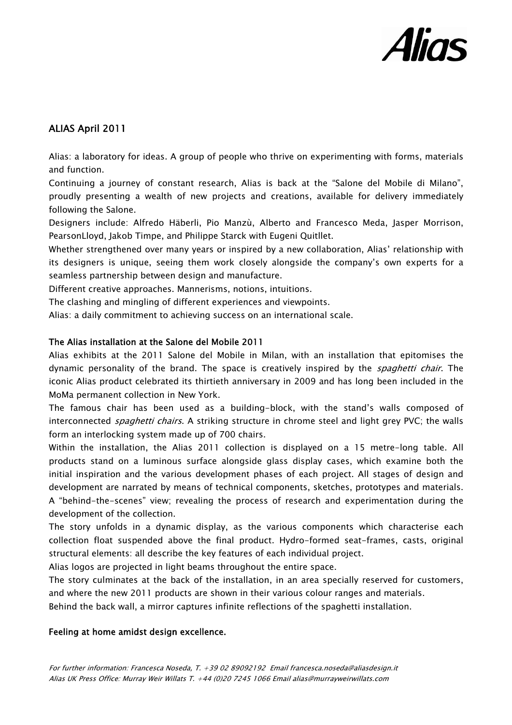

## ALIAS April 2011

Alias: a laboratory for ideas. A group of people who thrive on experimenting with forms, materials and function.

Continuing a journey of constant research, Alias is back at the "Salone del Mobile di Milano", proudly presenting a wealth of new projects and creations, available for delivery immediately following the Salone.

Designers include: Alfredo Häberli, Pio Manzù, Alberto and Francesco Meda, Jasper Morrison, PearsonLloyd, Jakob Timpe, and Philippe Starck with Eugeni Quitllet.

Whether strengthened over many years or inspired by a new collaboration, Alias' relationship with its designers is unique, seeing them work closely alongside the company's own experts for a seamless partnership between design and manufacture.

Different creative approaches. Mannerisms, notions, intuitions.

The clashing and mingling of different experiences and viewpoints.

Alias: a daily commitment to achieving success on an international scale.

## The Alias installation at the Salone del Mobile 2011

Alias exhibits at the 2011 Salone del Mobile in Milan, with an installation that epitomises the dynamic personality of the brand. The space is creatively inspired by the *spaghetti chair*. The iconic Alias product celebrated its thirtieth anniversary in 2009 and has long been included in the MoMa permanent collection in New York.

The famous chair has been used as a building-block, with the stand's walls composed of interconnected *spaghetti chairs*. A striking structure in chrome steel and light grey PVC; the walls form an interlocking system made up of 700 chairs.

Within the installation, the Alias 2011 collection is displayed on a 15 metre-long table. All products stand on a luminous surface alongside glass display cases, which examine both the initial inspiration and the various development phases of each project. All stages of design and development are narrated by means of technical components, sketches, prototypes and materials. A "behind-the-scenes" view; revealing the process of research and experimentation during the development of the collection.

The story unfolds in a dynamic display, as the various components which characterise each collection float suspended above the final product. Hydro-formed seat-frames, casts, original structural elements: all describe the key features of each individual project.

Alias logos are projected in light beams throughout the entire space.

The story culminates at the back of the installation, in an area specially reserved for customers, and where the new 2011 products are shown in their various colour ranges and materials.

Behind the back wall, a mirror captures infinite reflections of the spaghetti installation.

## Feeling at home amidst design excellence.